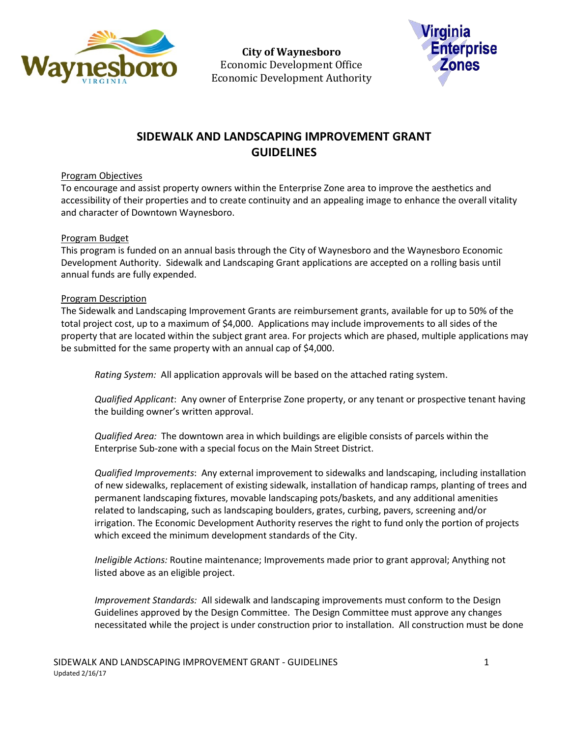

**City of Waynesboro**  Economic Development Office Economic Development Authority



# **SIDEWALK AND LANDSCAPING IMPROVEMENT GRANT GUIDELINES**

# Program Objectives

To encourage and assist property owners within the Enterprise Zone area to improve the aesthetics and accessibility of their properties and to create continuity and an appealing image to enhance the overall vitality and character of Downtown Waynesboro.

# Program Budget

This program is funded on an annual basis through the City of Waynesboro and the Waynesboro Economic Development Authority. Sidewalk and Landscaping Grant applications are accepted on a rolling basis until annual funds are fully expended.

### Program Description

The Sidewalk and Landscaping Improvement Grants are reimbursement grants, available for up to 50% of the total project cost, up to a maximum of \$4,000. Applications may include improvements to all sides of the property that are located within the subject grant area. For projects which are phased, multiple applications may be submitted for the same property with an annual cap of \$4,000.

*Rating System:* All application approvals will be based on the attached rating system.

*Qualified Applicant*: Any owner of Enterprise Zone property, or any tenant or prospective tenant having the building owner's written approval.

*Qualified Area:* The downtown area in which buildings are eligible consists of parcels within the Enterprise Sub-zone with a special focus on the Main Street District.

*Qualified Improvements*: Any external improvement to sidewalks and landscaping, including installation of new sidewalks, replacement of existing sidewalk, installation of handicap ramps, planting of trees and permanent landscaping fixtures, movable landscaping pots/baskets, and any additional amenities related to landscaping, such as landscaping boulders, grates, curbing, pavers, screening and/or irrigation. The Economic Development Authority reserves the right to fund only the portion of projects which exceed the minimum development standards of the City.

*Ineligible Actions:* Routine maintenance; Improvements made prior to grant approval; Anything not listed above as an eligible project.

*Improvement Standards:* All sidewalk and landscaping improvements must conform to the Design Guidelines approved by the Design Committee. The Design Committee must approve any changes necessitated while the project is under construction prior to installation. All construction must be done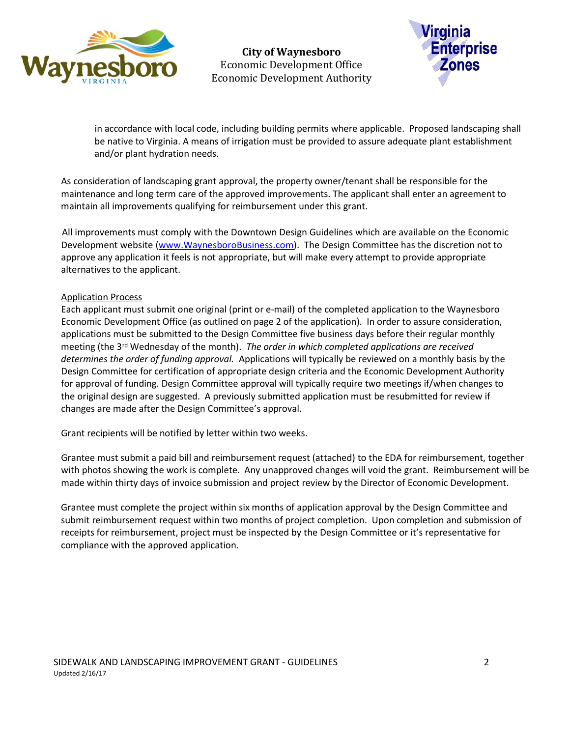

**City of Waynesboro**  Economic Development Office Economic Development Authority



in accordance with local code, including building permits where applicable. Proposed landscaping shall be native to Virginia. A means of irrigation must be provided to assure adequate plant establishment and/or plant hydration needs.

As consideration of landscaping grant approval, the property owner/tenant shall be responsible for the maintenance and long term care of the approved improvements. The applicant shall enter an agreement to maintain all improvements qualifying for reimbursement under this grant.

All improvements must comply with the Downtown Design Guidelines which are available on the Economic Development website [\(www.WaynesboroBusiness.com\)](http://www.waynesborobusiness.com/). The Design Committee has the discretion not to approve any application it feels is not appropriate, but will make every attempt to provide appropriate alternatives to the applicant.

### Application Process

Each applicant must submit one original (print or e-mail) of the completed application to the Waynesboro Economic Development Office (as outlined on page 2 of the application). In order to assure consideration, applications must be submitted to the Design Committee five business days before their regular monthly meeting (the 3rd Wednesday of the month). *The order in which completed applications are received determines the order of funding approval.* Applications will typically be reviewed on a monthly basis by the Design Committee for certification of appropriate design criteria and the Economic Development Authority for approval of funding. Design Committee approval will typically require two meetings if/when changes to the original design are suggested. A previously submitted application must be resubmitted for review if changes are made after the Design Committee's approval.

Grant recipients will be notified by letter within two weeks.

Grantee must submit a paid bill and reimbursement request (attached) to the EDA for reimbursement, together with photos showing the work is complete. Any unapproved changes will void the grant. Reimbursement will be made within thirty days of invoice submission and project review by the Director of Economic Development.

Grantee must complete the project within six months of application approval by the Design Committee and submit reimbursement request within two months of project completion. Upon completion and submission of receipts for reimbursement, project must be inspected by the Design Committee or it's representative for compliance with the approved application.